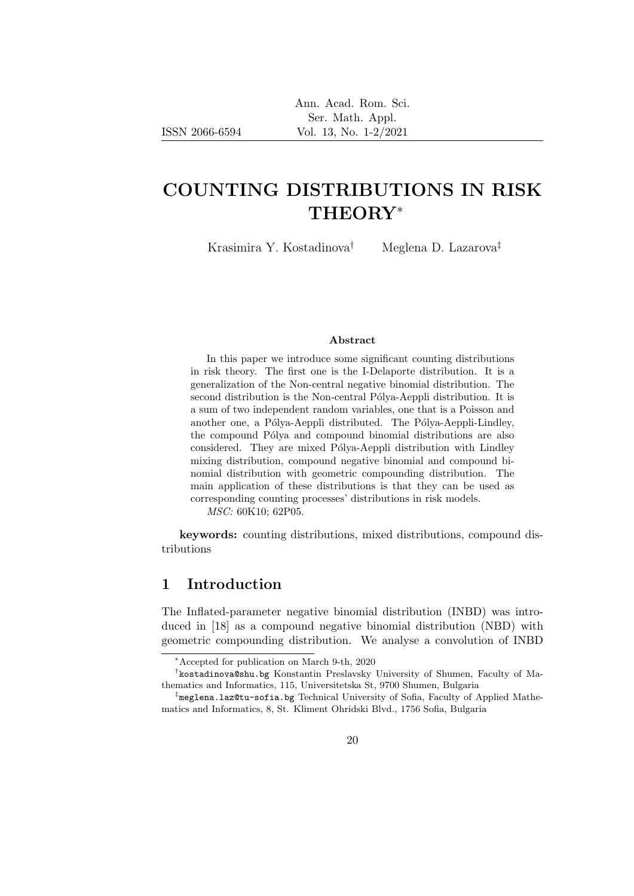ISSN 2066-6594

# COUNTING DISTRIBUTIONS IN RISK THEORY<sup>∗</sup>

Krasimira Y. Kostadinova<sup>†</sup> Meglena D. Lazarova<sup>‡</sup>

### Abstract

In this paper we introduce some significant counting distributions in risk theory. The first one is the I-Delaporte distribution. It is a generalization of the Non-central negative binomial distribution. The second distribution is the Non-central Pólya-Aeppli distribution. It is a sum of two independent random variables, one that is a Poisson and another one, a Pólya-Aeppli distributed. The Pólya-Aeppli-Lindley, the compound Pólya and compound binomial distributions are also considered. They are mixed Pólya-Aeppli distribution with Lindley mixing distribution, compound negative binomial and compound binomial distribution with geometric compounding distribution. The main application of these distributions is that they can be used as corresponding counting processes' distributions in risk models.

MSC: 60K10; 62P05.

keywords: counting distributions, mixed distributions, compound distributions

# 1 Introduction

The Inflated-parameter negative binomial distribution (INBD) was introduced in [18] as a compound negative binomial distribution (NBD) with geometric compounding distribution. We analyse a convolution of INBD

<sup>∗</sup>Accepted for publication on March 9-th, 2020

<sup>†</sup> kostadinova@shu.bg Konstantin Preslavsky University of Shumen, Faculty of Mathematics and Informatics, 115, Universitetska St, 9700 Shumen, Bulgaria

<sup>‡</sup> meglena.laz@tu-sofia.bg Technical University of Sofia, Faculty of Applied Mathematics and Informatics, 8, St. Kliment Ohridski Blvd., 1756 Sofia, Bulgaria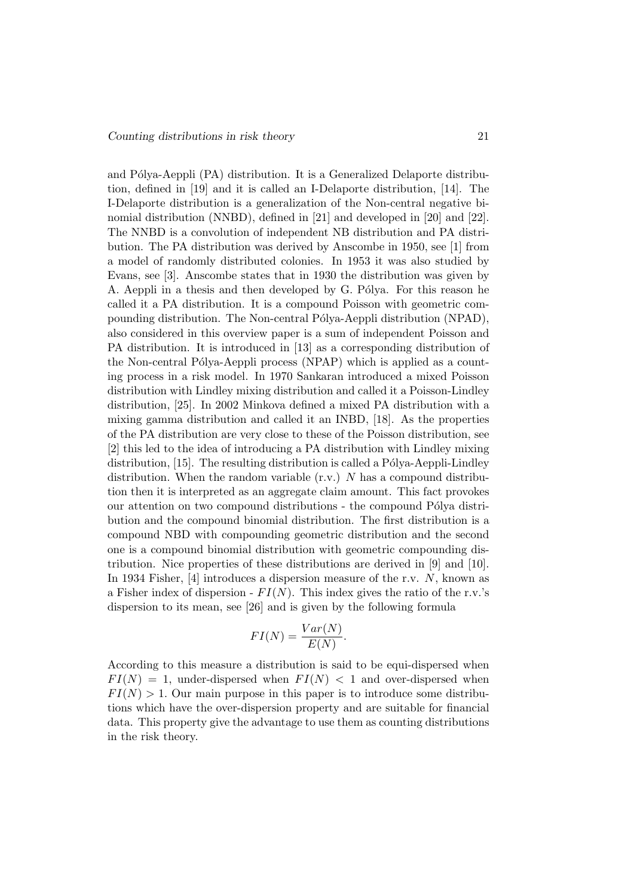and Pólya-Aeppli (PA) distribution. It is a Generalized Delaporte distribution, defined in [19] and it is called an I-Delaporte distribution, [14]. The I-Delaporte distribution is a generalization of the Non-central negative binomial distribution (NNBD), defined in [21] and developed in [20] and [22]. The NNBD is a convolution of independent NB distribution and PA distribution. The PA distribution was derived by Anscombe in 1950, see [1] from a model of randomly distributed colonies. In 1953 it was also studied by Evans, see [3]. Anscombe states that in 1930 the distribution was given by A. Aeppli in a thesis and then developed by G. Pólya. For this reason he called it a PA distribution. It is a compound Poisson with geometric compounding distribution. The Non-central Pólya-Aeppli distribution (NPAD), also considered in this overview paper is a sum of independent Poisson and PA distribution. It is introduced in [13] as a corresponding distribution of the Non-central Pólya-Aeppli process (NPAP) which is applied as a counting process in a risk model. In 1970 Sankaran introduced a mixed Poisson distribution with Lindley mixing distribution and called it a Poisson-Lindley distribution, [25]. In 2002 Minkova defined a mixed PA distribution with a mixing gamma distribution and called it an INBD, [18]. As the properties of the PA distribution are very close to these of the Poisson distribution, see [2] this led to the idea of introducing a PA distribution with Lindley mixing distribution,  $[15]$ . The resulting distribution is called a Pólya-Aeppli-Lindley distribution. When the random variable  $(r.v.)$  N has a compound distribution then it is interpreted as an aggregate claim amount. This fact provokes our attention on two compound distributions - the compound Pólya distribution and the compound binomial distribution. The first distribution is a compound NBD with compounding geometric distribution and the second one is a compound binomial distribution with geometric compounding distribution. Nice properties of these distributions are derived in [9] and [10]. In 1934 Fisher, [4] introduces a dispersion measure of the r.v. N, known as a Fisher index of dispersion -  $FI(N)$ . This index gives the ratio of the r.v.'s dispersion to its mean, see [26] and is given by the following formula

$$
FI(N) = \frac{Var(N)}{E(N)}.
$$

According to this measure a distribution is said to be equi-dispersed when  $FI(N) = 1$ , under-dispersed when  $FI(N) < 1$  and over-dispersed when  $FI(N) > 1$ . Our main purpose in this paper is to introduce some distributions which have the over-dispersion property and are suitable for financial data. This property give the advantage to use them as counting distributions in the risk theory.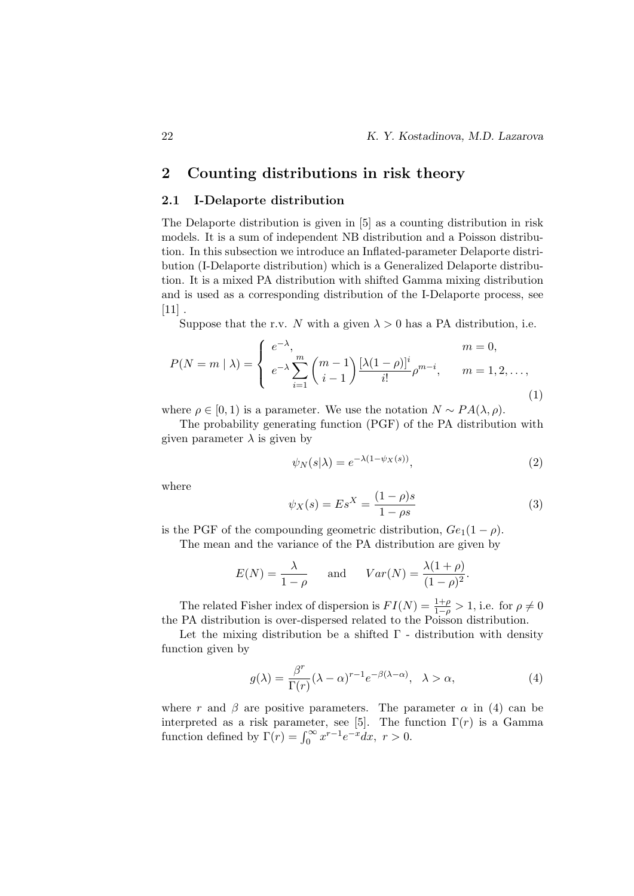## 2.1 I-Delaporte distribution

The Delaporte distribution is given in [5] as a counting distribution in risk models. It is a sum of independent NB distribution and a Poisson distribution. In this subsection we introduce an Inflated-parameter Delaporte distribution (I-Delaporte distribution) which is a Generalized Delaporte distribution. It is a mixed PA distribution with shifted Gamma mixing distribution and is used as a corresponding distribution of the I-Delaporte process, see  $[11]$ .

Suppose that the r.v. N with a given  $\lambda > 0$  has a PA distribution, i.e.

$$
P(N = m | \lambda) = \begin{cases} e^{-\lambda}, & m = 0, \\ e^{-\lambda} \sum_{i=1}^{m} {m-1 \choose i-1} \frac{[\lambda(1-\rho)]^{i}}{i!} \rho^{m-i}, & m = 1, 2, ..., \end{cases}
$$
(1)

where  $\rho \in [0, 1)$  is a parameter. We use the notation  $N \sim PA(\lambda, \rho)$ .

The probability generating function (PGF) of the PA distribution with given parameter  $\lambda$  is given by

$$
\psi_N(s|\lambda) = e^{-\lambda(1 - \psi_X(s))},\tag{2}
$$

where

$$
\psi_X(s) = Es^X = \frac{(1 - \rho)s}{1 - \rho s} \tag{3}
$$

is the PGF of the compounding geometric distribution,  $Ge_1(1-\rho)$ .

The mean and the variance of the PA distribution are given by

$$
E(N) = \frac{\lambda}{1 - \rho}
$$
 and  $Var(N) = \frac{\lambda(1 + \rho)}{(1 - \rho)^2}$ .

The related Fisher index of dispersion is  $FI(N) = \frac{1+\rho}{1-\rho} > 1$ , i.e. for  $\rho \neq 0$ the PA distribution is over-dispersed related to the Poisson distribution.

Let the mixing distribution be a shifted  $\Gamma$  - distribution with density function given by

$$
g(\lambda) = \frac{\beta^r}{\Gamma(r)} (\lambda - \alpha)^{r-1} e^{-\beta(\lambda - \alpha)}, \quad \lambda > \alpha,
$$
 (4)

where r and  $\beta$  are positive parameters. The parameter  $\alpha$  in (4) can be interpreted as a risk parameter, see [5]. The function  $\Gamma(r)$  is a Gamma function defined by  $\Gamma(r) = \int_0^\infty x^{r-1} e^{-x} dx$ ,  $r > 0$ .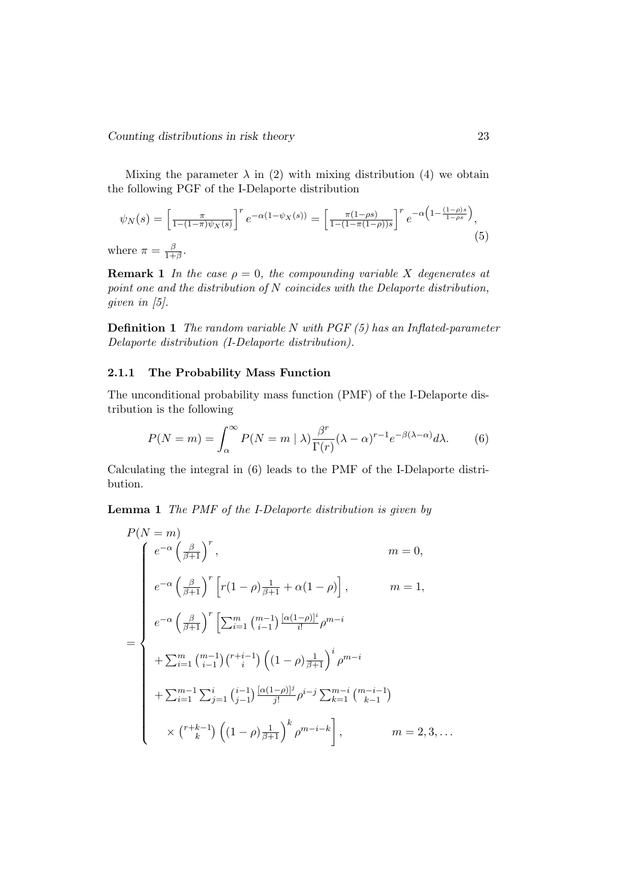Mixing the parameter  $\lambda$  in (2) with mixing distribution (4) we obtain the following PGF of the I-Delaporte distribution

$$
\psi_N(s) = \left[\frac{\pi}{1 - (1 - \pi)\psi_X(s)}\right]^r e^{-\alpha(1 - \psi_X(s))} = \left[\frac{\pi(1 - \rho s)}{1 - (1 - \pi(1 - \rho))s}\right]^r e^{-\alpha\left(1 - \frac{(1 - \rho)s}{1 - \rho s}\right)},\tag{5}
$$

where  $\pi$  =  $\frac{\beta}{1+\beta}$ .

**Remark 1** In the case  $\rho = 0$ , the compounding variable X degenerates at point one and the distribution of N coincides with the Delaporte distribution, given in [5].

**Definition 1** The random variable N with PGF  $(5)$  has an Inflated-parameter Delaporte distribution (I-Delaporte distribution).

## 2.1.1 The Probability Mass Function

The unconditional probability mass function (PMF) of the I-Delaporte distribution is the following

$$
P(N = m) = \int_{\alpha}^{\infty} P(N = m \mid \lambda) \frac{\beta^r}{\Gamma(r)} (\lambda - \alpha)^{r-1} e^{-\beta(\lambda - \alpha)} d\lambda.
$$
 (6)

Calculating the integral in (6) leads to the PMF of the I-Delaporte distribution.

Lemma 1 The PMF of the I-Delaporte distribution is given by

$$
P(N = m)
$$
  
\n
$$
e^{-\alpha} \left(\frac{\beta}{\beta+1}\right)^r, \qquad m = 0,
$$
  
\n
$$
e^{-\alpha} \left(\frac{\beta}{\beta+1}\right)^r \left[r(1-\rho)\frac{1}{\beta+1} + \alpha(1-\rho)\right], \qquad m = 1,
$$
  
\n
$$
e^{-\alpha} \left(\frac{\beta}{\beta+1}\right)^r \left[\sum_{i=1}^m \binom{m-1}{i-1} \frac{[\alpha(1-\rho)]^i}{i!} \rho^{m-i} + \sum_{i=1}^m \binom{m-1}{i-1} \binom{r+i-1}{i} \left((1-\rho)\frac{1}{\beta+1}\right)^i \rho^{m-i} + \sum_{i=1}^{m-1} \sum_{j=1}^i \binom{i-1}{j-1} \frac{[\alpha(1-\rho)]^j}{j!} \rho^{i-j} \sum_{k=1}^{m-i} \binom{m-i-1}{k-1} + \sum_{i=1}^{m-1} \sum_{j=1}^i \binom{i-1}{j-1} \frac{[\alpha(1-\rho)]^j}{j!} \rho^{i-j} \sum_{k=1}^{m-i} \binom{m-i-1}{k-1} + \sum_{i=1}^{m-1} \binom{i-1}{k} \binom{1-\rho}{k+1} \rho^{m-i-k} \right], \qquad m = 2, 3, ...
$$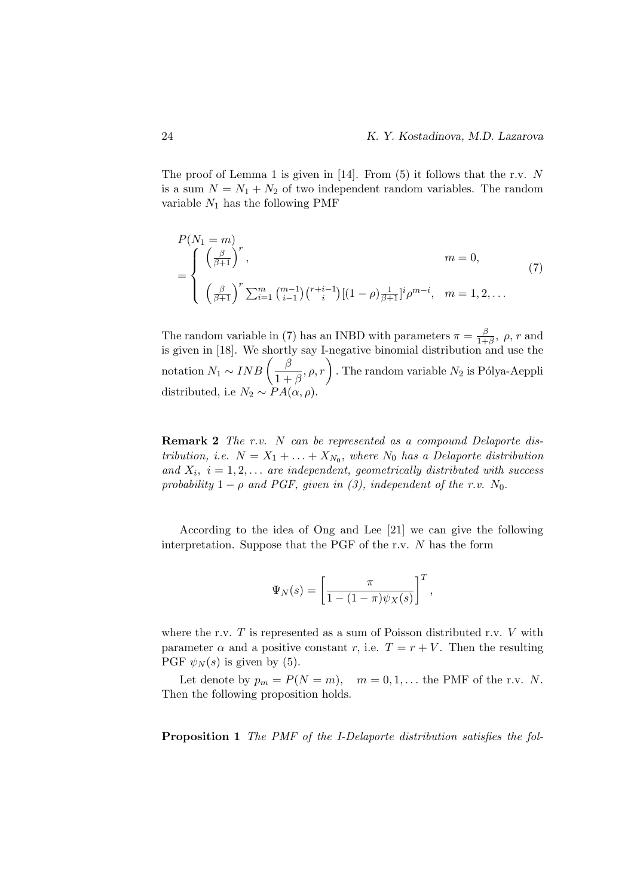The proof of Lemma 1 is given in [14]. From  $(5)$  it follows that the r.v. N is a sum  $N = N_1 + N_2$  of two independent random variables. The random variable  $N_1$  has the following PMF

$$
P(N_1 = m)
$$
  
= 
$$
\begin{cases} \left(\frac{\beta}{\beta+1}\right)^r, & m = 0, \\ \left(\frac{\beta}{\beta+1}\right)^r \sum_{i=1}^m \binom{m-1}{i-1} \binom{r+i-1}{i} [(1-\rho)\frac{1}{\beta+1}]^i \rho^{m-i}, & m = 1, 2, ... \end{cases}
$$
 (7)

The random variable in (7) has an INBD with parameters  $\pi = \frac{\beta}{1+\beta}$  $\frac{\beta}{1+\beta}, \ \rho, r \text{ and}$ is given in [18]. We shortly say I-negative binomial distribution and use the notation  $N_1 \sim INB \left( \frac{\beta}{1+r} \right)$  $\left( \frac{\beta}{1 + \beta}, \rho, r \right)$ . The random variable  $N_2$  is Pólya-Aeppli distributed, i.e  $N_2 \sim PA(\alpha, \rho)$ .

Remark 2 The r.v. N can be represented as a compound Delaporte distribution, i.e.  $N = X_1 + \ldots + X_{N_0}$ , where  $N_0$  has a Delaporte distribution and  $X_i$ ,  $i = 1, 2, \ldots$  are independent, geometrically distributed with success probability  $1 - \rho$  and PGF, given in (3), independent of the r.v. N<sub>0</sub>.

According to the idea of Ong and Lee [21] we can give the following interpretation. Suppose that the PGF of the r.v. N has the form

$$
\Psi_N(s) = \left[\frac{\pi}{1 - (1 - \pi)\psi_X(s)}\right]^T,
$$

where the r.v.  $T$  is represented as a sum of Poisson distributed r.v.  $V$  with parameter  $\alpha$  and a positive constant r, i.e.  $T = r + V$ . Then the resulting PGF  $\psi_N(s)$  is given by (5).

Let denote by  $p_m = P(N = m)$ ,  $m = 0, 1, \dots$  the PMF of the r.v. N. Then the following proposition holds.

Proposition 1 The PMF of the I-Delaporte distribution satisfies the fol-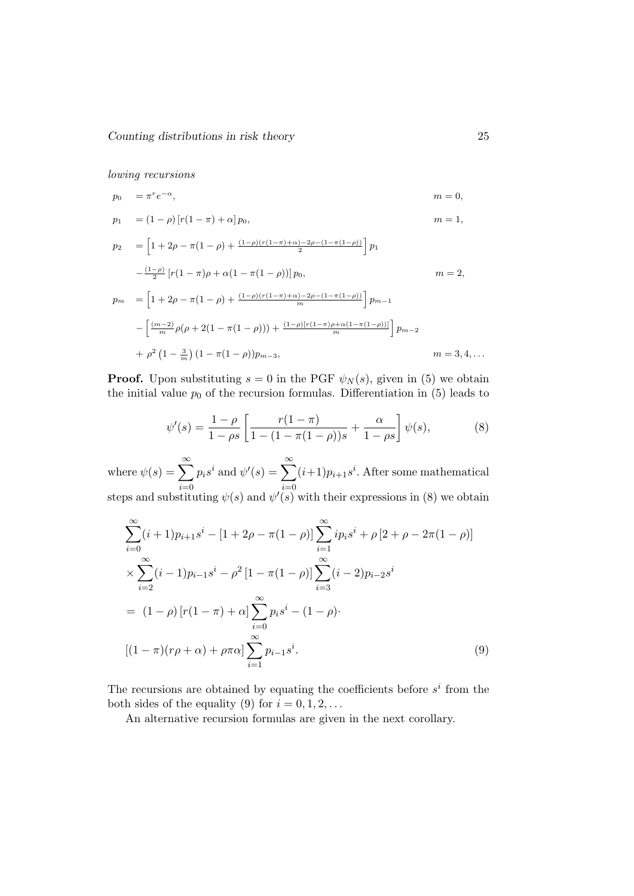lowing recursions

$$
p_0 = \pi^r e^{-\alpha}, \qquad m = 0,
$$
  
\n
$$
p_1 = (1 - \rho) [r(1 - \pi) + \alpha] p_0, \qquad m = 1,
$$
  
\n
$$
p_2 = \left[1 + 2\rho - \pi(1 - \rho) + \frac{(1 - \rho)(r(1 - \pi) + \alpha) - 2\rho - (1 - \pi(1 - \rho))}{2}\right] p_1
$$
  
\n
$$
-\frac{(1 - \rho)}{2} [r(1 - \pi)\rho + \alpha(1 - \pi(1 - \rho))] p_0, \qquad m = 2,
$$
  
\n
$$
p_m = \left[1 + 2\rho - \pi(1 - \rho) + \frac{(1 - \rho)(r(1 - \pi) + \alpha) - 2\rho - (1 - \pi(1 - \rho))}{m}\right] p_{m-1}
$$
  
\n
$$
-\left[\frac{(m-2)}{m}\rho(\rho + 2(1 - \pi(1 - \rho))) + \frac{(1 - \rho)[r(1 - \pi)\rho + \alpha(1 - \pi(1 - \rho))]}{m}\right] p_{m-2}
$$
  
\n
$$
+ \rho^2 (1 - \frac{3}{m}) (1 - \pi(1 - \rho)) p_{m-3}, \qquad m = 3, 4, ...
$$

**Proof.** Upon substituting  $s = 0$  in the PGF  $\psi_N(s)$ , given in (5) we obtain the initial value  $p_0$  of the recursion formulas. Differentiation in  $(5)$  leads to

$$
\psi'(s) = \frac{1-\rho}{1-\rho s} \left[ \frac{r(1-\pi)}{1-(1-\pi(1-\rho))s} + \frac{\alpha}{1-\rho s} \right] \psi(s),\tag{8}
$$

where  $\psi(s) = \sum_{n=0}^{\infty}$  $i=0$  $p_i s^i$  and  $\psi'(s) = \sum_{i=1}^{\infty}$  $i=0$  $(i+1)p_{i+1}s^i$ . After some mathematical steps and substituting  $\psi(s)$  and  $\psi'(s)$  with their expressions in (8) we obtain

$$
\sum_{i=0}^{\infty} (i+1)p_{i+1}s^{i} - [1+2\rho - \pi(1-\rho)] \sum_{i=1}^{\infty} ip_{i}s^{i} + \rho[2+\rho - 2\pi(1-\rho)]
$$
  
\n
$$
\times \sum_{i=2}^{\infty} (i-1)p_{i-1}s^{i} - \rho^{2}[1-\pi(1-\rho)] \sum_{i=3}^{\infty} (i-2)p_{i-2}s^{i}
$$
  
\n
$$
= (1-\rho)[r(1-\pi)+\alpha] \sum_{i=0}^{\infty} p_{i}s^{i} - (1-\rho).
$$
  
\n
$$
[(1-\pi)(r\rho + \alpha) + \rho\pi\alpha] \sum_{i=1}^{\infty} p_{i-1}s^{i}.
$$
 (9)

The recursions are obtained by equating the coefficients before  $s^i$  from the both sides of the equality (9) for  $i = 0, 1, 2, \ldots$ 

An alternative recursion formulas are given in the next corollary.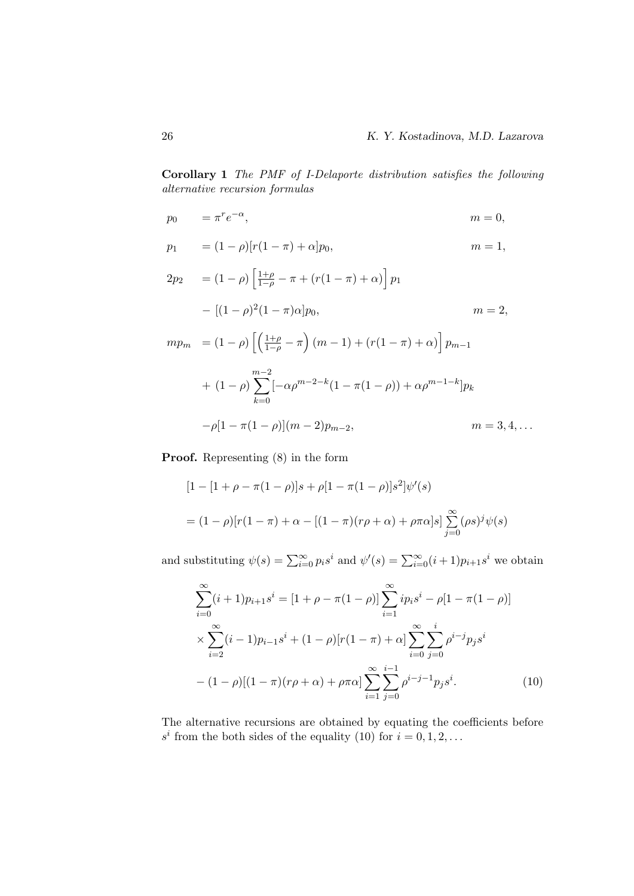Corollary 1 The PMF of I-Delaporte distribution satisfies the following alternative recursion formulas

$$
p_0 = \pi^r e^{-\alpha}, \qquad m = 0,
$$

$$
p_1 = (1 - \rho)[r(1 - \pi) + \alpha]p_0, \qquad m = 1,
$$

$$
2p_2 = (1 - \rho) \left[ \frac{1 + \rho}{1 - \rho} - \pi + (r(1 - \pi) + \alpha) \right] p_1
$$
  
\n
$$
- [(1 - \rho)^2 (1 - \pi) \alpha] p_0, \qquad m = 2,
$$
  
\n
$$
m p_m = (1 - \rho) \left[ \left( \frac{1 + \rho}{1 - \rho} - \pi \right) (m - 1) + (r(1 - \pi) + \alpha) \right] p_{m-1}
$$
  
\n
$$
+ (1 - \rho) \sum_{k=0}^{m-2} [-\alpha \rho^{m-2-k} (1 - \pi(1 - \rho)) + \alpha \rho^{m-1-k}] p_k
$$
  
\n
$$
- \rho [1 - \pi(1 - \rho)] (m - 2) p_{m-2}, \qquad m = 3, 4, ...
$$

Proof. Representing (8) in the form

$$
[1 - [1 + \rho - \pi(1 - \rho)]s + \rho[1 - \pi(1 - \rho)]s^2]\psi'(s)
$$
  
=  $(1 - \rho)[r(1 - \pi) + \alpha - [(1 - \pi)(r\rho + \alpha) + \rho\pi\alpha]s] \sum_{j=0}^{\infty} (\rho s)^j \psi(s)$ 

and substituting  $\psi(s) = \sum_{i=0}^{\infty} p_i s^i$  and  $\psi'(s) = \sum_{i=0}^{\infty} (i+1)p_{i+1} s^i$  we obtain

$$
\sum_{i=0}^{\infty} (i+1)p_{i+1}s^i = [1+\rho-\pi(1-\rho)] \sum_{i=1}^{\infty} ip_i s^i - \rho[1-\pi(1-\rho)]
$$
  
 
$$
\times \sum_{i=2}^{\infty} (i-1)p_{i-1}s^i + (1-\rho)[r(1-\pi)+\alpha] \sum_{i=0}^{\infty} \sum_{j=0}^i \rho^{i-j} p_j s^i
$$
  
 
$$
- (1-\rho)[(1-\pi)(r\rho+\alpha)+\rho\pi\alpha] \sum_{i=1}^{\infty} \sum_{j=0}^{i-1} \rho^{i-j-1} p_j s^i.
$$
 (10)

The alternative recursions are obtained by equating the coefficients before  $s^i$  from the both sides of the equality (10) for  $i = 0, 1, 2, ...$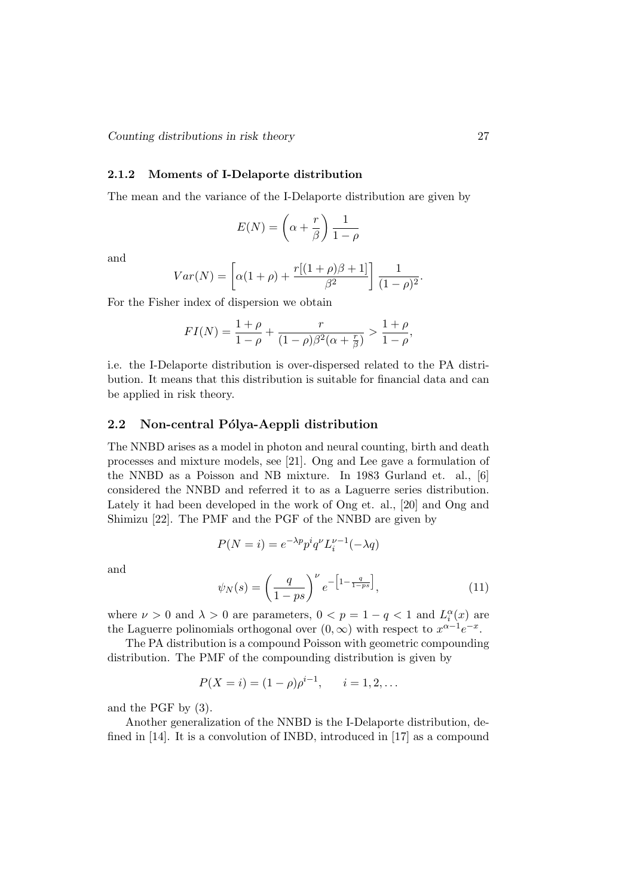## 2.1.2 Moments of I-Delaporte distribution

The mean and the variance of the I-Delaporte distribution are given by

$$
E(N) = \left(\alpha + \frac{r}{\beta}\right) \frac{1}{1 - \rho}
$$

and

$$
Var(N) = \left[ \alpha(1+\rho) + \frac{r[(1+\rho)\beta + 1]}{\beta^2} \right] \frac{1}{(1-\rho)^2}.
$$

For the Fisher index of dispersion we obtain

$$
FI(N) = \frac{1+\rho}{1-\rho} + \frac{r}{(1-\rho)\beta^2(\alpha + \frac{r}{\beta})} > \frac{1+\rho}{1-\rho},
$$

i.e. the I-Delaporte distribution is over-dispersed related to the PA distribution. It means that this distribution is suitable for financial data and can be applied in risk theory.

## 2.2 Non-central Pólya-Aeppli distribution

The NNBD arises as a model in photon and neural counting, birth and death processes and mixture models, see [21]. Ong and Lee gave a formulation of the NNBD as a Poisson and NB mixture. In 1983 Gurland et. al., [6] considered the NNBD and referred it to as a Laguerre series distribution. Lately it had been developed in the work of Ong et. al., [20] and Ong and Shimizu [22]. The PMF and the PGF of the NNBD are given by

$$
P(N = i) = e^{-\lambda p} p^i q^\nu L_i^{\nu - 1}(-\lambda q)
$$

and

$$
\psi_N(s) = \left(\frac{q}{1 - ps}\right)^{\nu} e^{-\left[1 - \frac{q}{1 - ps}\right]},\tag{11}
$$

where  $\nu > 0$  and  $\lambda > 0$  are parameters,  $0 < p = 1 - q < 1$  and  $L_i^{\alpha}(x)$  are the Laguerre polinomials orthogonal over  $(0, \infty)$  with respect to  $x^{\alpha-1}e^{-x}$ .

The PA distribution is a compound Poisson with geometric compounding distribution. The PMF of the compounding distribution is given by

$$
P(X = i) = (1 - \rho)\rho^{i-1}, \quad i = 1, 2, \dots
$$

and the PGF by (3).

Another generalization of the NNBD is the I-Delaporte distribution, defined in [14]. It is a convolution of INBD, introduced in [17] as a compound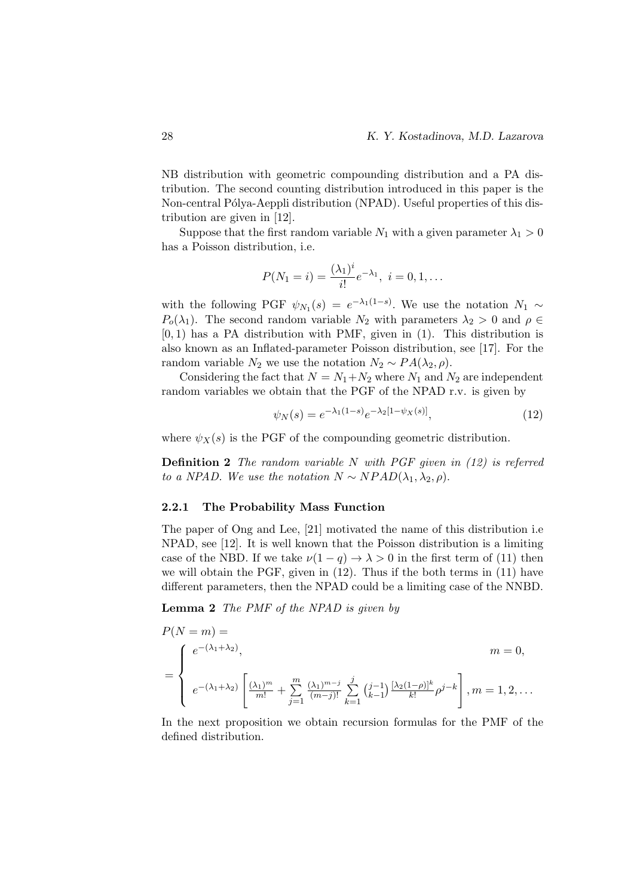NB distribution with geometric compounding distribution and a PA distribution. The second counting distribution introduced in this paper is the Non-central Pólya-Aeppli distribution (NPAD). Useful properties of this distribution are given in [12].

Suppose that the first random variable  $N_1$  with a given parameter  $\lambda_1 > 0$ has a Poisson distribution, i.e.

$$
P(N_1 = i) = \frac{(\lambda_1)^i}{i!} e^{-\lambda_1}, \ i = 0, 1, \dots
$$

with the following PGF  $\psi_{N_1}(s) = e^{-\lambda_1(1-s)}$ . We use the notation  $N_1 \sim$  $P_0(\lambda_1)$ . The second random variable  $N_2$  with parameters  $\lambda_2 > 0$  and  $\rho \in$  $[0, 1)$  has a PA distribution with PMF, given in  $(1)$ . This distribution is also known as an Inflated-parameter Poisson distribution, see [17]. For the random variable  $N_2$  we use the notation  $N_2 \sim PA(\lambda_2, \rho)$ .

Considering the fact that  $N = N_1 + N_2$  where  $N_1$  and  $N_2$  are independent random variables we obtain that the PGF of the NPAD r.v. is given by

$$
\psi_N(s) = e^{-\lambda_1(1-s)} e^{-\lambda_2[1-\psi_X(s)]},\tag{12}
$$

where  $\psi_X(s)$  is the PGF of the compounding geometric distribution.

**Definition 2** The random variable N with PGF given in  $(12)$  is referred to a NPAD. We use the notation  $N \sim NPAD(\lambda_1, \lambda_2, \rho)$ .

#### 2.2.1 The Probability Mass Function

The paper of Ong and Lee, [21] motivated the name of this distribution i.e NPAD, see [12]. It is well known that the Poisson distribution is a limiting case of the NBD. If we take  $\nu(1-q) \to \lambda > 0$  in the first term of (11) then we will obtain the PGF, given in (12). Thus if the both terms in (11) have different parameters, then the NPAD could be a limiting case of the NNBD.

Lemma 2 The PMF of the NPAD is given by

$$
P(N = m) =
$$
  
= 
$$
\begin{cases} e^{-(\lambda_1 + \lambda_2)}, & m = 0, \\ e^{-(\lambda_1 + \lambda_2)} \left[ \frac{(\lambda_1)^m}{m!} + \sum_{j=1}^m \frac{(\lambda_1)^{m-j}}{(m-j)!} \sum_{k=1}^j \binom{j-1}{k-1} \frac{[\lambda_2(1-\rho)]^k}{k!} \rho^{j-k} \right], m = 1, 2, ... \end{cases}
$$

In the next proposition we obtain recursion formulas for the PMF of the defined distribution.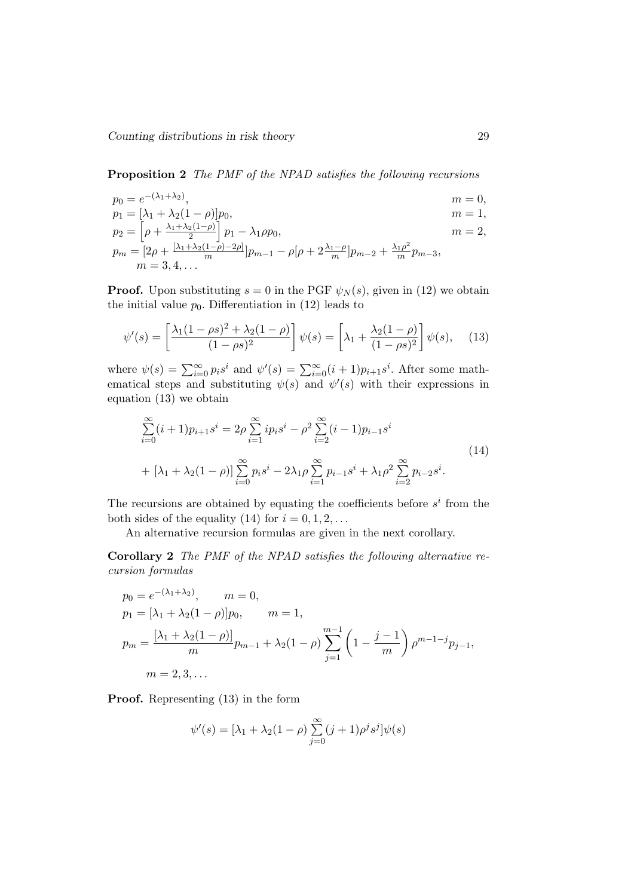Proposition 2 The PMF of the NPAD satisfies the following recursions

$$
p_0 = e^{-(\lambda_1 + \lambda_2)}, \qquad m = 0,
$$
  
\n
$$
p_1 = [\lambda_1 + \lambda_2(1 - \rho)]p_0, \qquad m = 1,
$$
  
\n
$$
p_2 = [\lambda_1 + \lambda_2(1 - \rho)]p_1 - \lambda_1 \rho p_0, \qquad m = 2,
$$

$$
p_2 = \left[\rho + \frac{\lambda_1 + \lambda_2(1-\rho)}{2}\right] p_1 - \lambda_1 \rho p_0, \qquad m = 2,
$$
  
\n
$$
p_m = \left[2\rho + \frac{[\lambda_1 + \lambda_2(1-\rho) - 2\rho]}{m}\right] p_{m-1} - \rho[\rho + 2\frac{\lambda_1 - \rho}{m}] p_{m-2} + \frac{\lambda_1 \rho^2}{m} p_{m-3},
$$
  
\n
$$
m = 3, 4, ...
$$

**Proof.** Upon substituting  $s = 0$  in the PGF  $\psi_N(s)$ , given in (12) we obtain the initial value  $p_0$ . Differentiation in (12) leads to

$$
\psi'(s) = \left[\frac{\lambda_1(1-\rho s)^2 + \lambda_2(1-\rho)}{(1-\rho s)^2}\right] \psi(s) = \left[\lambda_1 + \frac{\lambda_2(1-\rho)}{(1-\rho s)^2}\right] \psi(s), \quad (13)
$$

where  $\psi(s) = \sum_{i=0}^{\infty} p_i s^i$  and  $\psi'(s) = \sum_{i=0}^{\infty} (i+1)p_{i+1} s^i$ . After some mathematical steps and substituting  $\psi(s)$  and  $\psi'(s)$  with their expressions in equation (13) we obtain

$$
\sum_{i=0}^{\infty} (i+1)p_{i+1}s^i = 2\rho \sum_{i=1}^{\infty} ip_i s^i - \rho^2 \sum_{i=2}^{\infty} (i-1)p_{i-1}s^i
$$
\n
$$
+ [\lambda_1 + \lambda_2(1-\rho)] \sum_{i=0}^{\infty} p_i s^i - 2\lambda_1 \rho \sum_{i=1}^{\infty} p_{i-1}s^i + \lambda_1 \rho^2 \sum_{i=2}^{\infty} p_{i-2}s^i.
$$
\n(14)

The recursions are obtained by equating the coefficients before  $s^i$  from the both sides of the equality (14) for  $i = 0, 1, 2, \ldots$ 

An alternative recursion formulas are given in the next corollary.

Corollary 2 The PMF of the NPAD satisfies the following alternative recursion formulas

$$
p_0 = e^{-(\lambda_1 + \lambda_2)}, \qquad m = 0,
$$
  
\n
$$
p_1 = [\lambda_1 + \lambda_2(1 - \rho)]p_0, \qquad m = 1,
$$
  
\n
$$
p_m = \frac{[\lambda_1 + \lambda_2(1 - \rho)]}{m}p_{m-1} + \lambda_2(1 - \rho)\sum_{j=1}^{m-1} \left(1 - \frac{j-1}{m}\right)\rho^{m-1-j}p_{j-1},
$$
  
\n
$$
m = 2, 3, ...
$$

Proof. Representing (13) in the form

$$
\psi'(s) = [\lambda_1 + \lambda_2(1-\rho)\sum_{j=0}^{\infty} (j+1)\rho^j s^j]\psi(s)
$$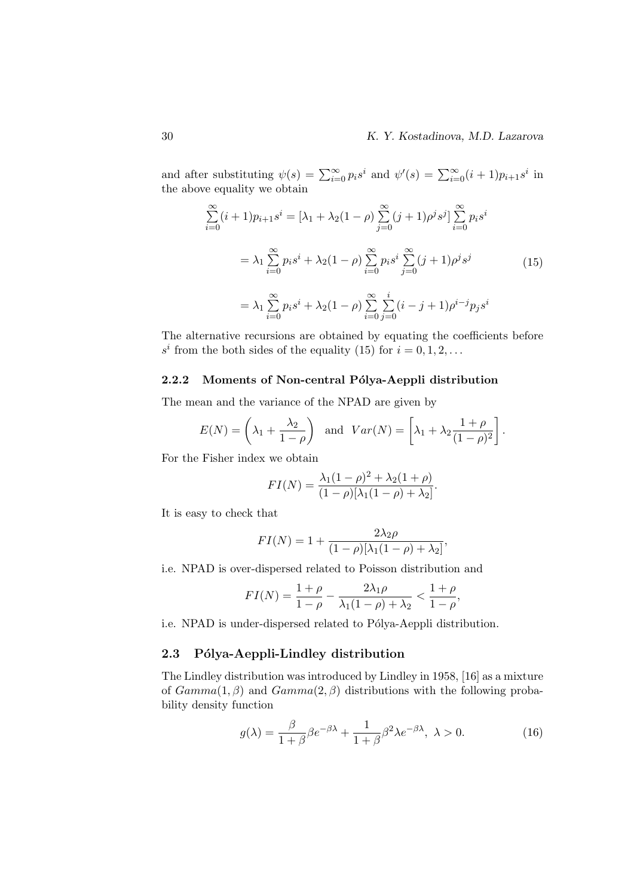and after substituting  $\psi(s) = \sum_{i=0}^{\infty} p_i s^i$  and  $\psi'(s) = \sum_{i=0}^{\infty} (i+1)p_{i+1} s^i$  in the above equality we obtain

$$
\sum_{i=0}^{\infty} (i+1)p_{i+1}s^i = [\lambda_1 + \lambda_2(1-\rho)\sum_{j=0}^{\infty} (j+1)\rho^j s^j] \sum_{i=0}^{\infty} p_i s^i
$$
  

$$
= \lambda_1 \sum_{i=0}^{\infty} p_i s^i + \lambda_2(1-\rho) \sum_{i=0}^{\infty} p_i s^i \sum_{j=0}^{\infty} (j+1)\rho^j s^j
$$
(15)  

$$
= \lambda_1 \sum_{i=0}^{\infty} p_i s^i + \lambda_2(1-\rho) \sum_{i=0}^{\infty} \sum_{j=0}^i (i-j+1)\rho^{i-j} p_j s^i
$$

The alternative recursions are obtained by equating the coefficients before  $s^i$  from the both sides of the equality (15) for  $i = 0, 1, 2, ...$ 

## 2.2.2 Moments of Non-central Pólya-Aeppli distribution

The mean and the variance of the NPAD are given by

$$
E(N) = \left(\lambda_1 + \frac{\lambda_2}{1-\rho}\right) \text{ and } Var(N) = \left[\lambda_1 + \lambda_2 \frac{1+\rho}{(1-\rho)^2}\right].
$$

For the Fisher index we obtain

$$
FI(N) = \frac{\lambda_1(1-\rho)^2 + \lambda_2(1+\rho)}{(1-\rho)[\lambda_1(1-\rho) + \lambda_2]}.
$$

It is easy to check that

$$
FI(N) = 1 + \frac{2\lambda_2 \rho}{(1 - \rho)[\lambda_1(1 - \rho) + \lambda_2]},
$$

i.e. NPAD is over-dispersed related to Poisson distribution and

$$
FI(N) = \frac{1+\rho}{1-\rho} - \frac{2\lambda_1\rho}{\lambda_1(1-\rho)+\lambda_2} < \frac{1+\rho}{1-\rho},
$$

i.e. NPAD is under-dispersed related to Pólya-Aeppli distribution.

## 2.3 Pólya-Aeppli-Lindley distribution

The Lindley distribution was introduced by Lindley in 1958, [16] as a mixture of  $Gamma(1, \beta)$  and  $Gamma(2, \beta)$  distributions with the following probability density function

$$
g(\lambda) = \frac{\beta}{1+\beta}\beta e^{-\beta\lambda} + \frac{1}{1+\beta}\beta^2\lambda e^{-\beta\lambda}, \ \lambda > 0.
$$
 (16)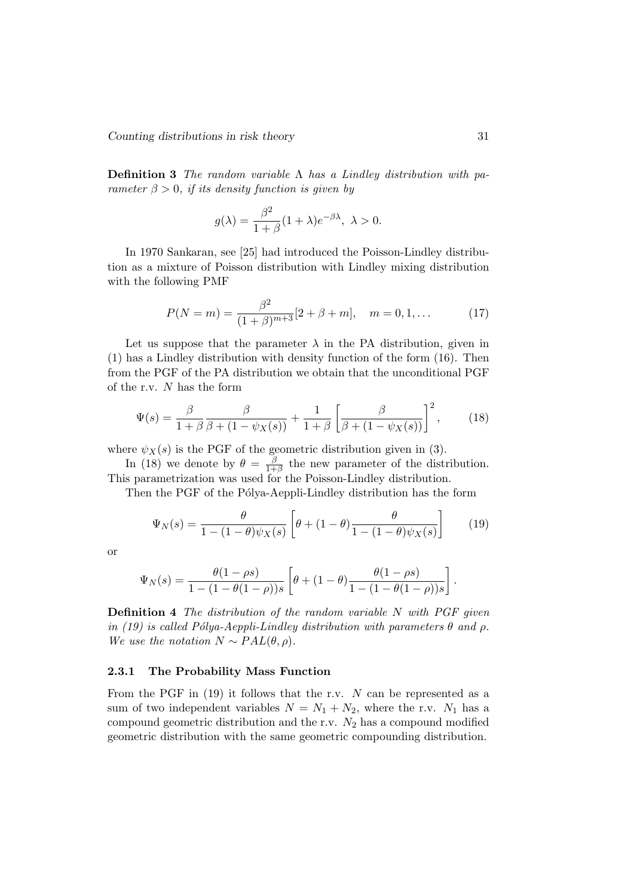**Definition 3** The random variable  $\Lambda$  has a Lindley distribution with parameter  $\beta > 0$ , if its density function is given by

$$
g(\lambda) = \frac{\beta^2}{1+\beta}(1+\lambda)e^{-\beta\lambda}, \ \lambda > 0.
$$

In 1970 Sankaran, see [25] had introduced the Poisson-Lindley distribution as a mixture of Poisson distribution with Lindley mixing distribution with the following PMF

$$
P(N=m) = \frac{\beta^2}{(1+\beta)^{m+3}} [2+\beta+m], \quad m = 0, 1, ... \tag{17}
$$

Let us suppose that the parameter  $\lambda$  in the PA distribution, given in (1) has a Lindley distribution with density function of the form (16). Then from the PGF of the PA distribution we obtain that the unconditional PGF of the r.v. N has the form

$$
\Psi(s) = \frac{\beta}{1+\beta} \frac{\beta}{\beta + (1-\psi_X(s))} + \frac{1}{1+\beta} \left[ \frac{\beta}{\beta + (1-\psi_X(s))} \right]^2, \quad (18)
$$

where  $\psi_X(s)$  is the PGF of the geometric distribution given in (3).

In (18) we denote by  $\theta = \frac{\beta}{1+\beta}$  $\frac{\beta}{1+\beta}$  the new parameter of the distribution. This parametrization was used for the Poisson-Lindley distribution.

Then the PGF of the Pólya-Aeppli-Lindley distribution has the form

$$
\Psi_N(s) = \frac{\theta}{1 - (1 - \theta)\psi_X(s)} \left[ \theta + (1 - \theta)\frac{\theta}{1 - (1 - \theta)\psi_X(s)} \right] \tag{19}
$$

or

$$
\Psi_N(s) = \frac{\theta(1-\rho s)}{1-(1-\theta(1-\rho))s} \left[ \theta + (1-\theta) \frac{\theta(1-\rho s)}{1-(1-\theta(1-\rho))s} \right].
$$

Definition 4 The distribution of the random variable N with PGF given in (19) is called Pólya-Aeppli-Lindley distribution with parameters  $\theta$  and  $\rho$ . We use the notation  $N \sim PAL(\theta, \rho)$ .

## 2.3.1 The Probability Mass Function

From the PGF in  $(19)$  it follows that the r.v. N can be represented as a sum of two independent variables  $N = N_1 + N_2$ , where the r.v.  $N_1$  has a compound geometric distribution and the r.v.  $N_2$  has a compound modified geometric distribution with the same geometric compounding distribution.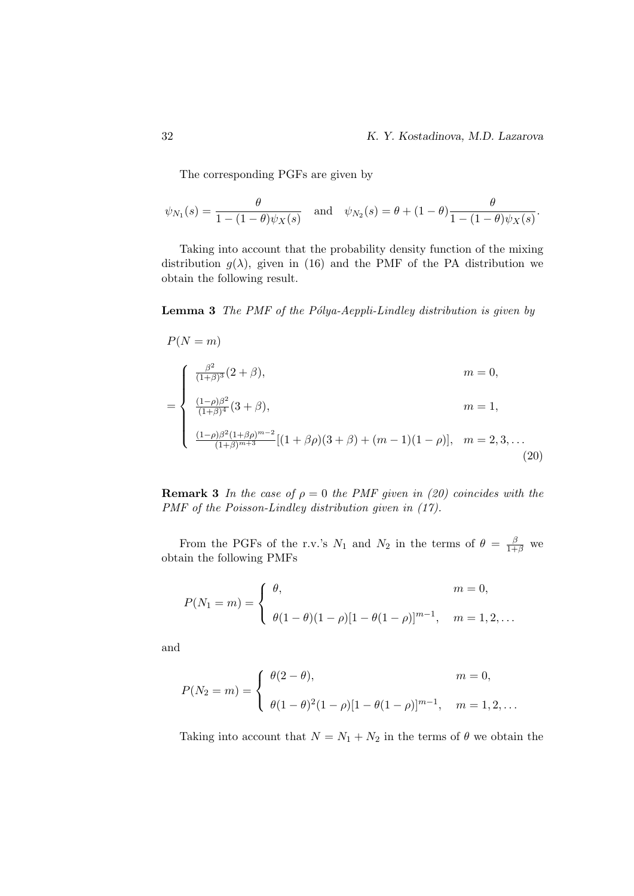The corresponding PGFs are given by

$$
\psi_{N_1}(s) = \frac{\theta}{1 - (1 - \theta)\psi_X(s)}
$$
 and  $\psi_{N_2}(s) = \theta + (1 - \theta)\frac{\theta}{1 - (1 - \theta)\psi_X(s)}$ .

Taking into account that the probability density function of the mixing distribution  $g(\lambda)$ , given in (16) and the PMF of the PA distribution we obtain the following result.

## **Lemma 3** The PMF of the Pólya-Aeppli-Lindley distribution is given by

$$
P(N = m)
$$
  
= 
$$
\begin{cases} \frac{\beta^{2}}{(1+\beta)^{3}}(2+\beta), & m = 0, \\ \frac{(1-\rho)\beta^{2}}{(1+\beta)^{4}}(3+\beta), & m = 1, \\ \frac{(1-\rho)\beta^{2}(1+\beta\rho)^{m-2}}{(1+\beta)^{m+3}}[(1+\beta\rho)(3+\beta) + (m-1)(1-\rho)], & m = 2,3,... \end{cases}
$$
 (20)

**Remark 3** In the case of  $\rho = 0$  the PMF given in (20) coincides with the PMF of the Poisson-Lindley distribution given in  $(17)$ .

From the PGFs of the r.v.'s  $N_1$  and  $N_2$  in the terms of  $\theta = \frac{\beta}{1+\beta}$  we obtain the following PMFs

$$
P(N_1 = m) = \begin{cases} \theta, & m = 0, \\ \theta(1 - \theta)(1 - \rho)[1 - \theta(1 - \rho)]^{m-1}, & m = 1, 2, ... \end{cases}
$$

and

$$
P(N_2 = m) = \begin{cases} \theta(2 - \theta), & m = 0, \\ \theta(1 - \theta)^2(1 - \rho)[1 - \theta(1 - \rho)]^{m-1}, & m = 1, 2, ... \end{cases}
$$

Taking into account that  $N = N_1 + N_2$  in the terms of  $\theta$  we obtain the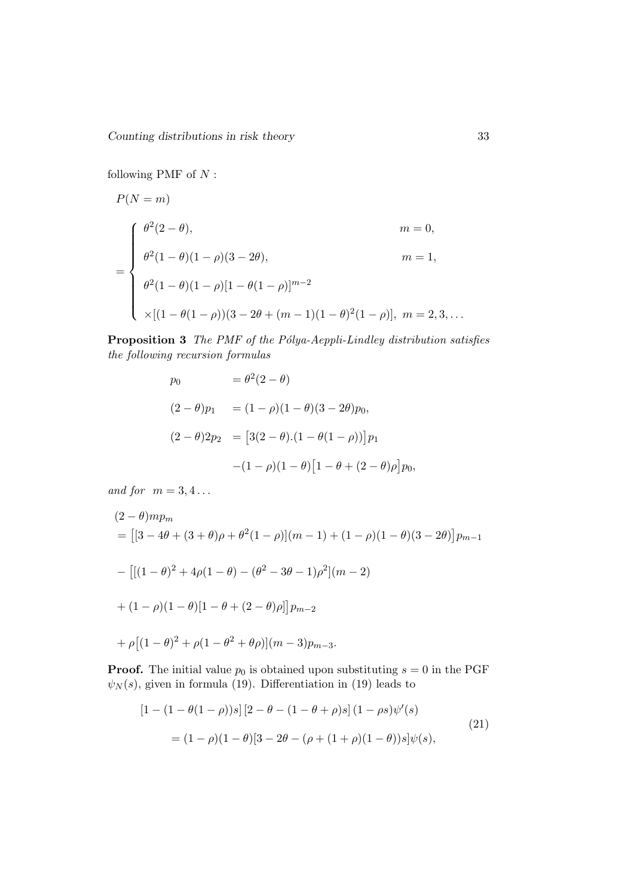following PMF of  $N$ :

$$
P(N = m)
$$
  
= 
$$
\begin{cases} \theta^2(2 - \theta), & m = 0, \\ \theta^2(1 - \theta)(1 - \rho)(3 - 2\theta), & m = 1, \\ \theta^2(1 - \theta)(1 - \rho)[1 - \theta(1 - \rho)]^{m-2} \\ \times [(1 - \theta(1 - \rho))(3 - 2\theta + (m - 1)(1 - \theta)^2(1 - \rho)], & m = 2, 3, ... \end{cases}
$$

Proposition 3 The PMF of the Pólya-Aeppli-Lindley distribution satisfies the following recursion formulas

$$
p_0 = \theta^2 (2 - \theta)
$$
  
\n
$$
(2 - \theta)p_1 = (1 - \rho)(1 - \theta)(3 - 2\theta)p_0,
$$
  
\n
$$
(2 - \theta)2p_2 = [3(2 - \theta).(1 - \theta(1 - \rho))]p_1
$$
  
\n
$$
-(1 - \rho)(1 - \theta)[1 - \theta + (2 - \theta)\rho]p_0,
$$

and for  $m = 3, 4...$ 

$$
(2 - \theta)mp_m
$$
  
= 
$$
[[3 - 4\theta + (3 + \theta)\rho + \theta^2(1 - \rho)](m - 1) + (1 - \rho)(1 - \theta)(3 - 2\theta)]p_{m-1}
$$
  
- 
$$
[[(1 - \theta)^2 + 4\rho(1 - \theta) - (\theta^2 - 3\theta - 1)\rho^2](m - 2)
$$
  
+ 
$$
(1 - \rho)(1 - \theta)[1 - \theta + (2 - \theta)\rho]]p_{m-2}
$$
  
+ 
$$
\rho[(1 - \theta)^2 + \rho(1 - \theta^2 + \theta\rho)](m - 3)p_{m-3}.
$$

**Proof.** The initial value  $p_0$  is obtained upon substituting  $s = 0$  in the PGF  $\psi_N(s)$ , given in formula (19). Differentiation in (19) leads to

$$
[1 - (1 - \theta(1 - \rho))s][2 - \theta - (1 - \theta + \rho)s](1 - \rho s)\psi'(s)
$$
  
=  $(1 - \rho)(1 - \theta)[3 - 2\theta - (\rho + (1 + \rho)(1 - \theta))s]\psi(s),$  (21)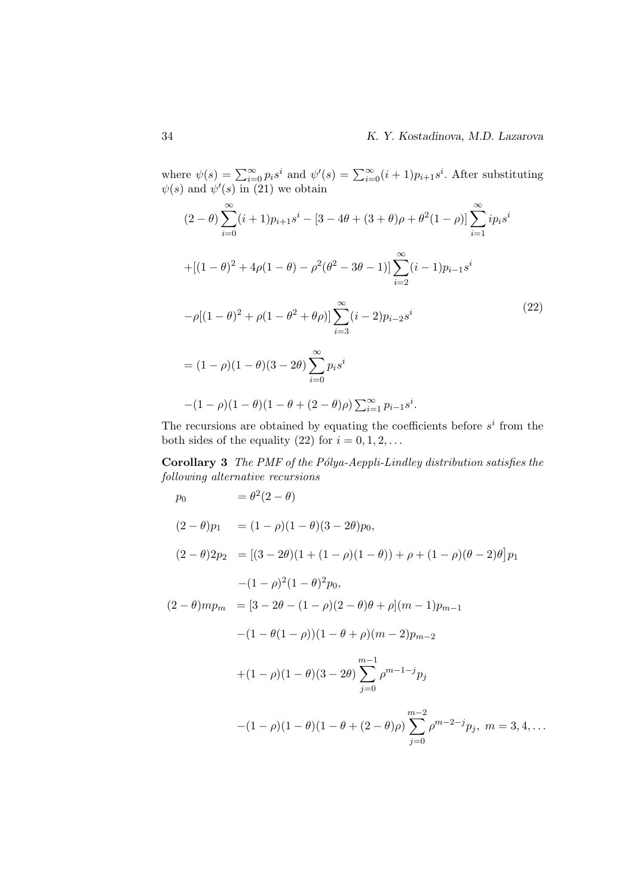where  $\psi(s) = \sum_{i=0}^{\infty} p_i s^i$  and  $\psi'(s) = \sum_{i=0}^{\infty} (i+1)p_{i+1} s^i$ . After substituting  $\psi(s)$  and  $\psi'(s)$  in (21) we obtain

$$
(2 - \theta) \sum_{i=0}^{\infty} (i + 1)p_{i+1}s^{i} - [3 - 4\theta + (3 + \theta)\rho + \theta^{2}(1 - \rho)] \sum_{i=1}^{\infty} ip_{i}s^{i}
$$
  
+ 
$$
[(1 - \theta)^{2} + 4\rho(1 - \theta) - \rho^{2}(\theta^{2} - 3\theta - 1)] \sum_{i=2}^{\infty} (i - 1)p_{i-1}s^{i}
$$
  
-
$$
\rho[(1 - \theta)^{2} + \rho(1 - \theta^{2} + \theta\rho)] \sum_{i=3}^{\infty} (i - 2)p_{i-2}s^{i}
$$
  
= 
$$
(1 - \rho)(1 - \theta)(3 - 2\theta) \sum_{i=0}^{\infty} p_{i}s^{i}
$$
  
- 
$$
(1 - \rho)(1 - \theta)(1 - \theta + (2 - \theta)\rho) \sum_{i=1}^{\infty} p_{i-1}s^{i}.
$$
 (22)

The recursions are obtained by equating the coefficients before  $s^i$  from the both sides of the equality (22) for  $i = 0, 1, 2, \ldots$ 

**Corollary 3** The PMF of the Pólya-Aeppli-Lindley distribution satisfies the following alternative recursions

$$
p_0 = \theta^2 (2 - \theta)
$$
  
\n
$$
(2 - \theta)p_1 = (1 - \rho)(1 - \theta)(3 - 2\theta)p_0,
$$
  
\n
$$
(2 - \theta)2p_2 = [(3 - 2\theta)(1 + (1 - \rho)(1 - \theta)) + \rho + (1 - \rho)(\theta - 2)\theta]p_1
$$
  
\n
$$
-(1 - \rho)^2 (1 - \theta)^2 p_0,
$$
  
\n
$$
(2 - \theta)mp_m = [3 - 2\theta - (1 - \rho)(2 - \theta)\theta + \rho](m - 1)p_{m-1}
$$
  
\n
$$
-(1 - \theta(1 - \rho))(1 - \theta + \rho)(m - 2)p_{m-2}
$$
  
\n
$$
+(1 - \rho)(1 - \theta)(3 - 2\theta) \sum_{j=0}^{m-1} \rho^{m-1-j} p_j
$$
  
\n
$$
-(1 - \rho)(1 - \theta)(1 - \theta + (2 - \theta)\rho) \sum_{j=0}^{m-2} \rho^{m-2-j} p_j, \ m = 3, 4, ...
$$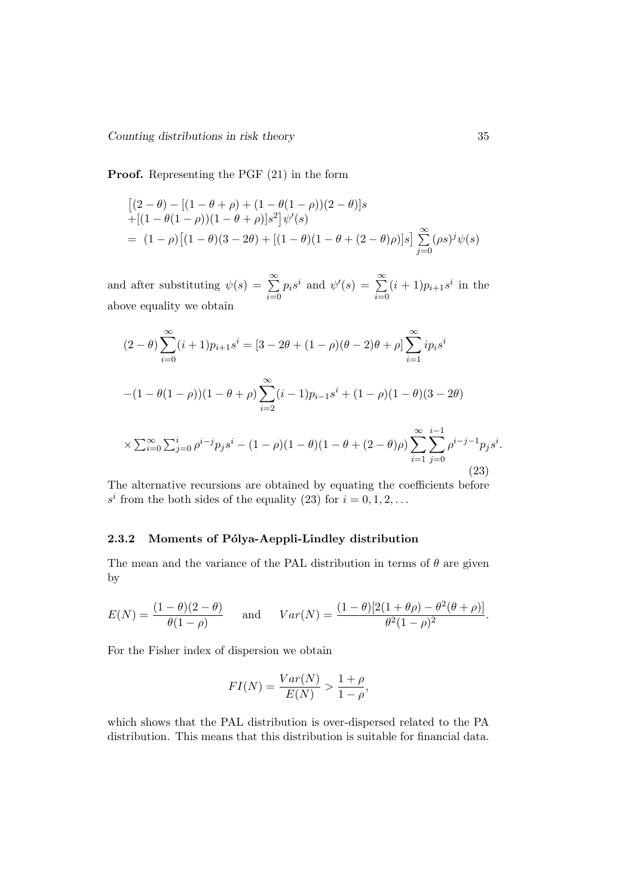Proof. Representing the PGF (21) in the form

$$
\begin{aligned} & \left[ (2 - \theta) - \left[ (1 - \theta + \rho) + (1 - \theta(1 - \rho))(2 - \theta) \right] s \right. \\ & + \left[ (1 - \theta(1 - \rho))(1 - \theta + \rho) \right] s^2 \right] \psi'(s) \\ & = (1 - \rho) \left[ (1 - \theta)(3 - 2\theta) + \left[ (1 - \theta)(1 - \theta + (2 - \theta)\rho) \right] s \right] \sum_{j=0}^{\infty} (\rho s)^j \psi(s) \end{aligned}
$$

and after substituting  $\psi(s) = \sum_{n=0}^{\infty}$  $i=0$  $p_i s^i$  and  $\psi'(s) = \sum_{i=1}^{\infty}$  $i=0$  $(i + 1)p_{i+1}s^i$  in the above equality we obtain

$$
(2 - \theta) \sum_{i=0}^{\infty} (i+1)p_{i+1}s^i = [3 - 2\theta + (1 - \rho)(\theta - 2)\theta + \rho] \sum_{i=1}^{\infty} ip_i s^i
$$
  

$$
-(1 - \theta(1 - \rho))(1 - \theta + \rho) \sum_{i=2}^{\infty} (i-1)p_{i-1}s^i + (1 - \rho)(1 - \theta)(3 - 2\theta)
$$
  

$$
\times \sum_{i=0}^{\infty} \sum_{j=0}^i \rho^{i-j} p_j s^i - (1 - \rho)(1 - \theta)(1 - \theta + (2 - \theta)\rho) \sum_{i=1}^{\infty} \sum_{j=0}^{i-1} \rho^{i-j-1} p_j s^i.
$$
  
(23)

The alternative recursions are obtained by equating the coefficients before  $s^i$  from the both sides of the equality (23) for  $i = 0, 1, 2, ...$ 

## 2.3.2 Moments of Pólya-Aeppli-Lindley distribution

The mean and the variance of the PAL distribution in terms of  $\theta$  are given by

$$
E(N) = \frac{(1 - \theta)(2 - \theta)}{\theta(1 - \rho)} \quad \text{and} \quad Var(N) = \frac{(1 - \theta)[2(1 + \theta\rho) - \theta^2(\theta + \rho)]}{\theta^2(1 - \rho)^2}.
$$

For the Fisher index of dispersion we obtain

$$
FI(N) = \frac{Var(N)}{E(N)} > \frac{1+\rho}{1-\rho},
$$

which shows that the PAL distribution is over-dispersed related to the PA distribution. This means that this distribution is suitable for financial data.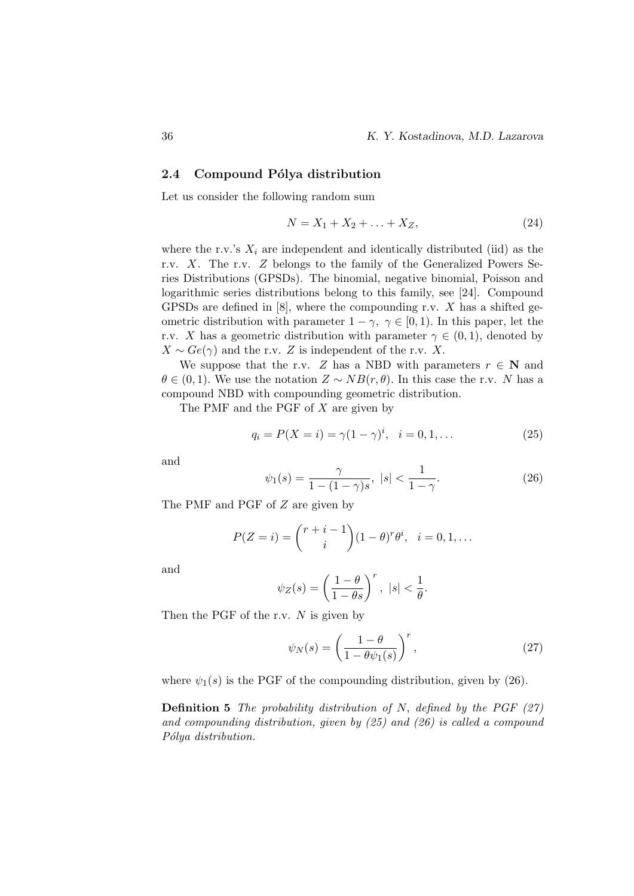### 2.4 Compound Pólya distribution

Let us consider the following random sum

$$
N = X_1 + X_2 + \ldots + X_Z,\tag{24}
$$

where the r.v.'s  $X_i$  are independent and identically distributed (iid) as the r.v. X. The r.v. Z belongs to the family of the Generalized Powers Series Distributions (GPSDs). The binomial, negative binomial, Poisson and logarithmic series distributions belong to this family, see [24]. Compound GPSDs are defined in  $[8]$ , where the compounding r.v. X has a shifted geometric distribution with parameter  $1 - \gamma$ ,  $\gamma \in [0, 1)$ . In this paper, let the r.v. X has a geometric distribution with parameter  $\gamma \in (0,1)$ , denoted by  $X \sim Ge(\gamma)$  and the r.v. Z is independent of the r.v. X.

We suppose that the r.v. Z has a NBD with parameters  $r \in \mathbb{N}$  and  $\theta \in (0, 1)$ . We use the notation  $Z \sim NB(r, \theta)$ . In this case the r.v. N has a compound NBD with compounding geometric distribution.

The PMF and the PGF of X are given by

$$
q_i = P(X = i) = \gamma (1 - \gamma)^i, \quad i = 0, 1, \dots
$$
 (25)

and

$$
\psi_1(s) = \frac{\gamma}{1 - (1 - \gamma)s}, \ |s| < \frac{1}{1 - \gamma}.\tag{26}
$$

The PMF and PGF of Z are given by

$$
P(Z = i) = {r + i - 1 \choose i} (1 - \theta)^r \theta^i, \quad i = 0, 1, ...
$$

and

$$
\psi_Z(s) = \left(\frac{1-\theta}{1-\theta s}\right)^r, \ |s| < \frac{1}{\theta}.
$$

Then the PGF of the r.v.  $N$  is given by

$$
\psi_N(s) = \left(\frac{1-\theta}{1-\theta\psi_1(s)}\right)^r,\tag{27}
$$

where  $\psi_1(s)$  is the PGF of the compounding distribution, given by (26).

**Definition 5** The probability distribution of N, defined by the PGF  $(27)$ and compounding distribution, given by  $(25)$  and  $(26)$  is called a compound Pólya distribution.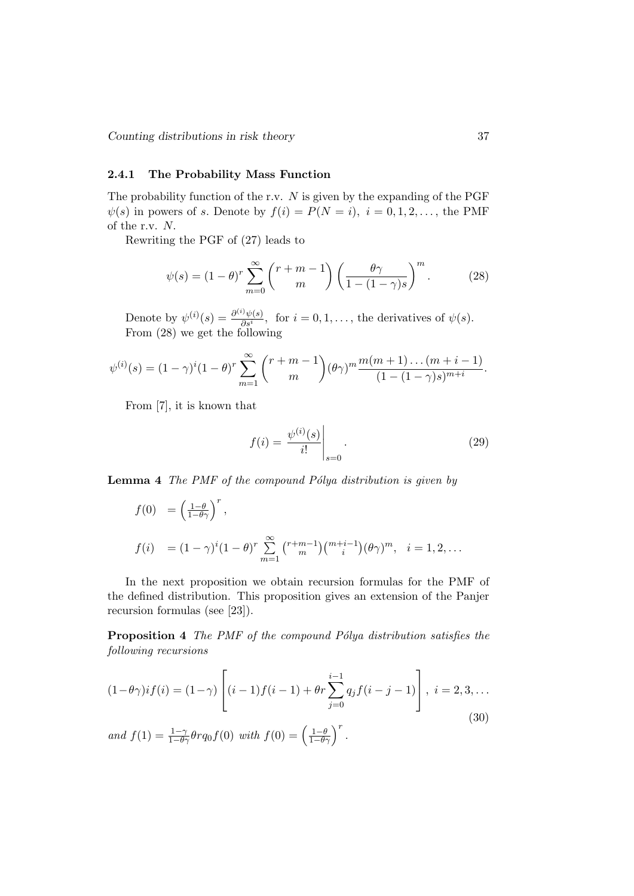## 2.4.1 The Probability Mass Function

The probability function of the r.v.  $N$  is given by the expanding of the PGF  $\psi(s)$  in powers of s. Denote by  $f(i) = P(N = i), i = 0, 1, 2, \ldots$ , the PMF of the r.v. N.

Rewriting the PGF of (27) leads to

$$
\psi(s) = (1 - \theta)^r \sum_{m=0}^{\infty} {r + m - 1 \choose m} \left( \frac{\theta \gamma}{1 - (1 - \gamma)s} \right)^m.
$$
 (28)

Denote by  $\psi^{(i)}(s) = \frac{\partial^{(i)} \psi(s)}{\partial s^i}$  $\frac{\partial \psi(s)}{\partial s^i}$ , for  $i = 0, 1, \ldots$ , the derivatives of  $\psi(s)$ . From (28) we get the following

$$
\psi^{(i)}(s) = (1 - \gamma)^i (1 - \theta)^r \sum_{m=1}^{\infty} {r + m - 1 \choose m} (\theta \gamma)^m \frac{m(m+1) \dots (m+i-1)}{(1 - (1 - \gamma)s)^{m+i}}.
$$

From [7], it is known that

$$
f(i) = \left. \frac{\psi^{(i)}(s)}{i!} \right|_{s=0}.
$$
\n
$$
(29)
$$

**Lemma 4** The PMF of the compound Pólya distribution is given by

$$
f(0) = \left(\frac{1-\theta}{1-\theta\gamma}\right)^r,
$$
  
\n
$$
f(i) = (1-\gamma)^i (1-\theta)^r \sum_{m=1}^{\infty} {r+m-1 \choose m} {m+i-1 \choose i} (\theta \gamma)^m, \quad i = 1, 2, ...
$$

In the next proposition we obtain recursion formulas for the PMF of the defined distribution. This proposition gives an extension of the Panjer recursion formulas (see [23]).

**Proposition 4** The PMF of the compound Pólya distribution satisfies the following recursions

$$
(1 - \theta \gamma) i f(i) = (1 - \gamma) \left[ (i - 1) f(i - 1) + \theta r \sum_{j=0}^{i-1} q_j f(i - j - 1) \right], \ i = 2, 3, \dots
$$
  
and 
$$
f(1) = \frac{1 - \gamma}{1 - \theta \gamma} \theta r q_0 f(0) \text{ with } f(0) = \left( \frac{1 - \theta}{1 - \theta \gamma} \right)^r.
$$
 (30)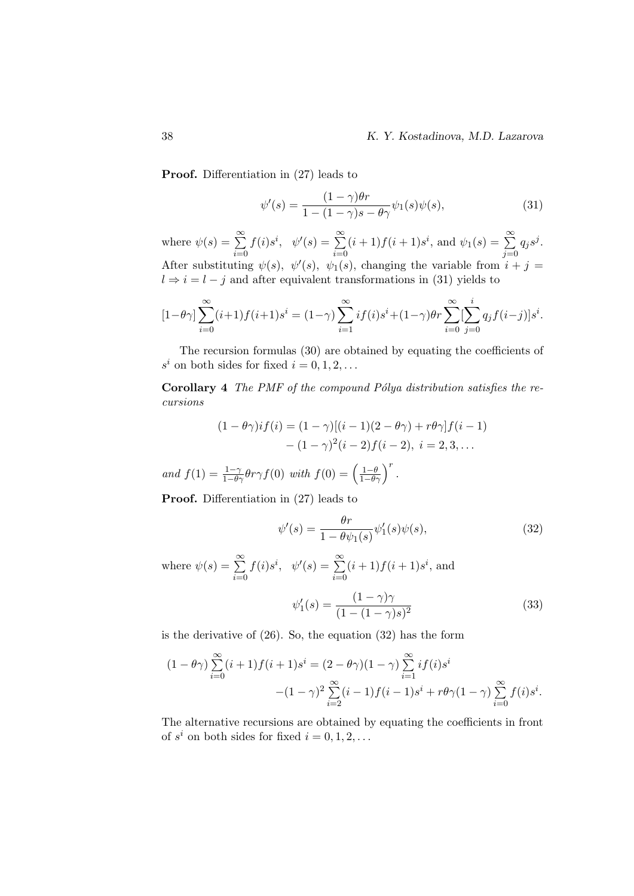Proof. Differentiation in (27) leads to

$$
\psi'(s) = \frac{(1-\gamma)\theta r}{1 - (1-\gamma)s - \theta\gamma}\psi_1(s)\psi(s),\tag{31}
$$

where  $\psi(s) = \sum_{n=0}^{\infty}$  $i=0$  $f(i)s^i, \psi'(s) = \sum_{i=1}^{\infty}$  $i=0$  $(i+1) f(i+1) s^i$ , and  $\psi_1(s) = \sum_{i=1}^{\infty}$  $j=0$  $q_j s^j$ . After substituting  $\psi(s)$ ,  $\psi'(s)$ ,  $\psi_1(s)$ , changing the variable from  $i + j =$  $l \Rightarrow i = l - j$  and after equivalent transformations in (31) yields to

$$
[1 - \theta \gamma] \sum_{i=0}^{\infty} (i+1) f(i+1) s^i = (1 - \gamma) \sum_{i=1}^{\infty} i f(i) s^i + (1 - \gamma) \theta r \sum_{i=0}^{\infty} \left[ \sum_{j=0}^i q_j f(i-j) \right] s^i.
$$

The recursion formulas (30) are obtained by equating the coefficients of  $s^i$  on both sides for fixed  $i = 0, 1, 2, \ldots$ 

Corollary 4 The PMF of the compound Pólya distribution satisfies the recursions

$$
(1 - \theta \gamma) i f(i) = (1 - \gamma)[(i - 1)(2 - \theta \gamma) + r\theta \gamma] f(i - 1) - (1 - \gamma)^2 (i - 2) f(i - 2), i = 2, 3, ...
$$

and  $f(1) = \frac{1-\gamma}{1-\theta\gamma}\theta r\gamma f(0)$  with  $f(0) = \left(\frac{1-\theta}{1-\theta\gamma}\right)^r$ .

Proof. Differentiation in (27) leads to

$$
\psi'(s) = \frac{\theta r}{1 - \theta \psi_1(s)} \psi_1'(s) \psi(s),\tag{32}
$$

where  $\psi(s) = \sum_{n=0}^{\infty}$  $i=0$  $f(i)s^i, \psi'(s) = \sum_{i=1}^{\infty}$  $i=0$  $(i+1) f(i+1) s^i$ , and  $\overline{\phantom{a}}$ 

$$
\psi_1'(s) = \frac{(1 - \gamma)\gamma}{(1 - (1 - \gamma)s)^2}
$$
\n(33)

is the derivative of (26). So, the equation (32) has the form

$$
(1 - \theta \gamma) \sum_{i=0}^{\infty} (i+1)f(i+1)s^i = (2 - \theta \gamma)(1 - \gamma) \sum_{i=1}^{\infty} if(i)s^i
$$

$$
-(1 - \gamma)^2 \sum_{i=2}^{\infty} (i-1)f(i-1)s^i + r\theta \gamma (1 - \gamma) \sum_{i=0}^{\infty} f(i)s^i.
$$

The alternative recursions are obtained by equating the coefficients in front of  $s^i$  on both sides for fixed  $i = 0, 1, 2, \ldots$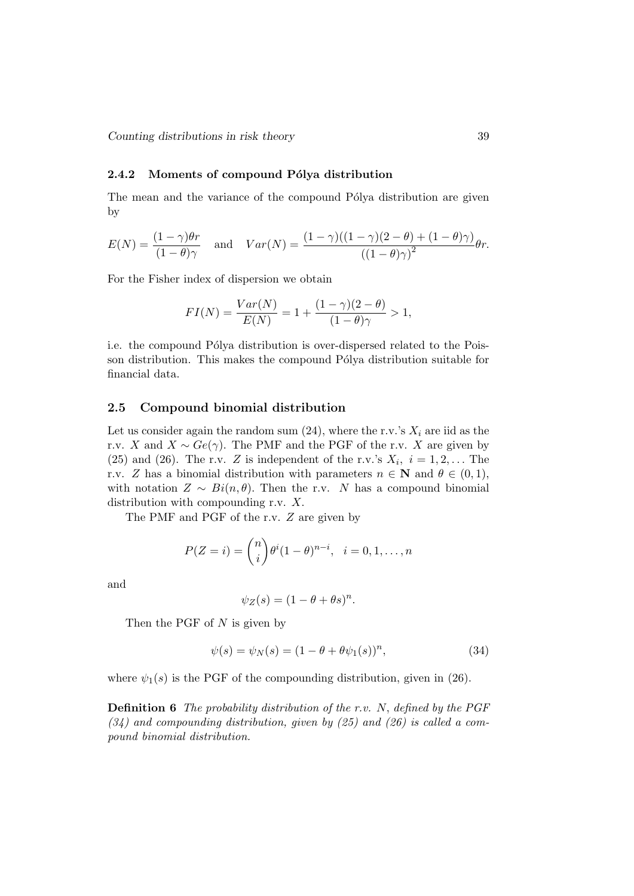## 2.4.2 Moments of compound Pólya distribution

The mean and the variance of the compound Pólya distribution are given by

$$
E(N) = \frac{(1-\gamma)\theta r}{(1-\theta)\gamma} \quad \text{and} \quad Var(N) = \frac{(1-\gamma)((1-\gamma)(2-\theta)+(1-\theta)\gamma)}{((1-\theta)\gamma)^2}\theta r.
$$

For the Fisher index of dispersion we obtain

$$
FI(N) = \frac{Var(N)}{E(N)} = 1 + \frac{(1 - \gamma)(2 - \theta)}{(1 - \theta)\gamma} > 1,
$$

i.e. the compound Pólya distribution is over-dispersed related to the Poisson distribution. This makes the compound Pólya distribution suitable for financial data.

## 2.5 Compound binomial distribution

Let us consider again the random sum  $(24)$ , where the r.v.'s  $X_i$  are iid as the r.v. X and  $X \sim Ge(\gamma)$ . The PMF and the PGF of the r.v. X are given by (25) and (26). The r.v. Z is independent of the r.v.'s  $X_i$ ,  $i = 1, 2, \ldots$  The r.v. Z has a binomial distribution with parameters  $n \in \mathbb{N}$  and  $\theta \in (0,1)$ , with notation  $Z \sim Bi(n, \theta)$ . Then the r.v. N has a compound binomial distribution with compounding r.v. X.

The PMF and PGF of the r.v. Z are given by

$$
P(Z = i) = {n \choose i} \theta^{i} (1 - \theta)^{n - i}, \quad i = 0, 1, ..., n
$$

and

$$
\psi_Z(s) = (1 - \theta + \theta s)^n.
$$

Then the PGF of  $N$  is given by

$$
\psi(s) = \psi_N(s) = (1 - \theta + \theta \psi_1(s))^n, \tag{34}
$$

where  $\psi_1(s)$  is the PGF of the compounding distribution, given in (26).

**Definition 6** The probability distribution of the r.v. N, defined by the PGF  $(34)$  and compounding distribution, given by  $(25)$  and  $(26)$  is called a compound binomial distribution.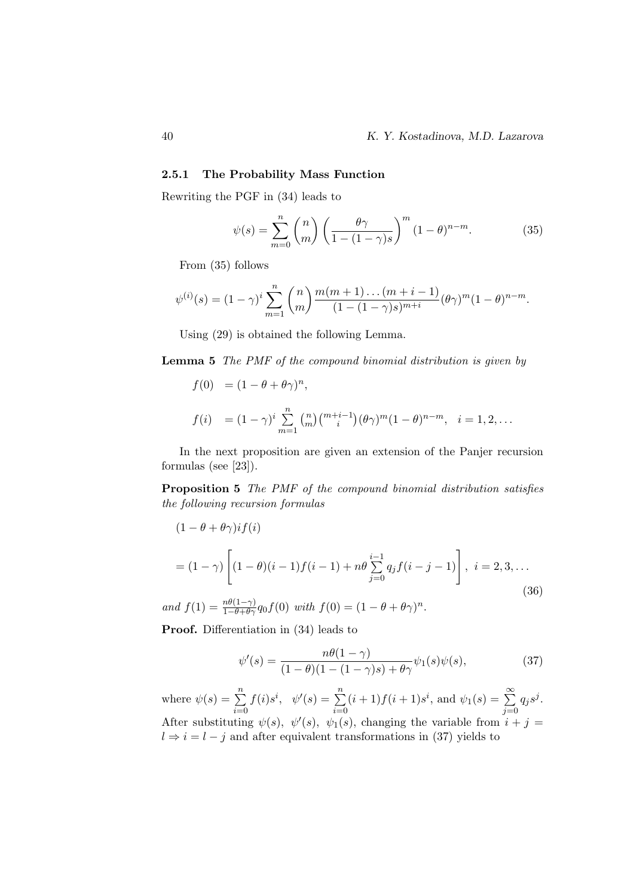## 2.5.1 The Probability Mass Function

Rewriting the PGF in (34) leads to

$$
\psi(s) = \sum_{m=0}^{n} {n \choose m} \left( \frac{\theta \gamma}{1 - (1 - \gamma)s} \right)^m (1 - \theta)^{n - m}.
$$
 (35)

From (35) follows

$$
\psi^{(i)}(s) = (1 - \gamma)^i \sum_{m=1}^n {n \choose m} \frac{m(m+1) \dots (m+i-1)}{(1 - (1 - \gamma)s)^{m+i}} (\theta \gamma)^m (1 - \theta)^{n-m}.
$$

Using (29) is obtained the following Lemma.

Lemma 5 The PMF of the compound binomial distribution is given by

 $f(0) = (1 - \theta + \theta \gamma)^n,$ 

$$
f(i) = (1 - \gamma)^i \sum_{m=1}^n {n \choose m} {m + i - 1 \choose i} (\theta \gamma)^m (1 - \theta)^{n - m}, \quad i = 1, 2, ...
$$

In the next proposition are given an extension of the Panjer recursion formulas (see [23]).

Proposition 5 The PMF of the compound binomial distribution satisfies the following recursion formulas

$$
(1 - \theta + \theta \gamma) i f(i)
$$
  
=  $(1 - \gamma) \left[ (1 - \theta)(i - 1) f(i - 1) + n\theta \sum_{j=0}^{i-1} q_j f(i - j - 1) \right], i = 2, 3, ...$   
(36)

and  $f(1) = \frac{n\theta(1-\gamma)}{1-\theta+\theta\gamma} q_0 f(0)$  with  $f(0) = (1-\theta+\theta\gamma)^n$ .

Proof. Differentiation in (34) leads to

$$
\psi'(s) = \frac{n\theta(1-\gamma)}{(1-\theta)(1-(1-\gamma)s)+\theta\gamma}\psi_1(s)\psi(s),\tag{37}
$$

where  $\psi(s) = \sum_{n=1}^{\infty}$  $i=0$  $f(i)s^i$ ,  $\psi'(s) = \sum_{i=1}^n$  $i=0$  $(i+1) f(i+1) s^i$ , and  $\psi_1(s) = \sum_{i=1}^{\infty}$  $j=0$  $q_j s^j$ . After substituting  $\psi(s)$ ,  $\psi'(s)$ ,  $\psi_1(s)$ , changing the variable from  $i + j =$  $l \Rightarrow i = l - j$  and after equivalent transformations in (37) yields to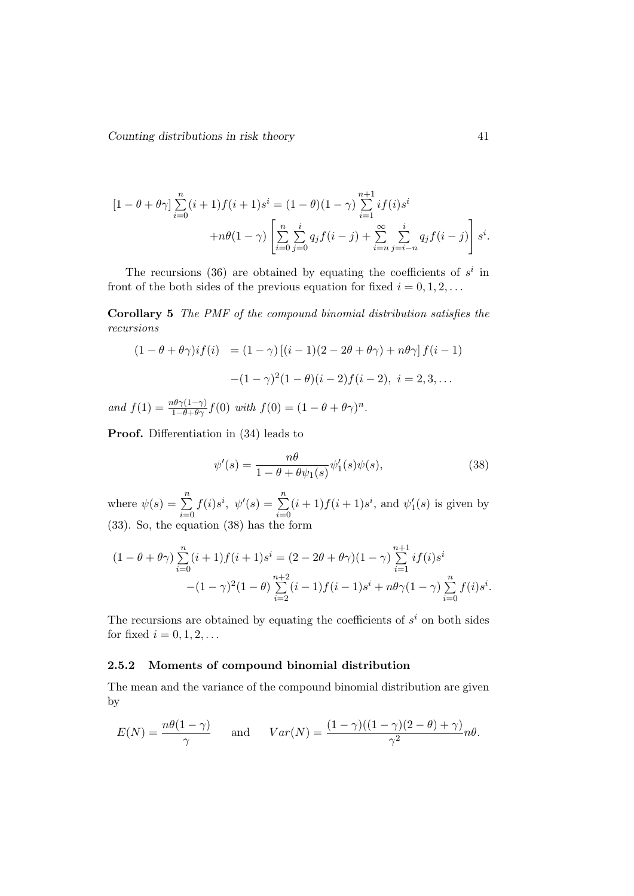$$
[1 - \theta + \theta \gamma] \sum_{i=0}^{n} (i+1)f(i+1)s^{i} = (1 - \theta)(1 - \gamma) \sum_{i=1}^{n+1} if(i)s^{i}
$$

$$
+ n\theta(1 - \gamma) \left[ \sum_{i=0}^{n} \sum_{j=0}^{i} q_{j}f(i-j) + \sum_{i=n}^{\infty} \sum_{j=i-n}^{i} q_{j}f(i-j) \right] s^{i}.
$$

The recursions (36) are obtained by equating the coefficients of  $s^i$  in front of the both sides of the previous equation for fixed  $i = 0, 1, 2, \ldots$ 

Corollary 5 The PMF of the compound binomial distribution satisfies the recursions

$$
(1 - \theta + \theta \gamma)if(i) = (1 - \gamma) [(i - 1)(2 - 2\theta + \theta \gamma) + n\theta \gamma] f(i - 1)
$$

$$
-(1 - \gamma)^2 (1 - \theta)(i - 2) f(i - 2), i = 2, 3, ...
$$

and  $f(1) = \frac{n\theta\gamma(1-\gamma)}{1-\theta+\theta\gamma}f(0)$  with  $f(0) = (1-\theta+\theta\gamma)^n$ .

Proof. Differentiation in (34) leads to

$$
\psi'(s) = \frac{n\theta}{1 - \theta + \theta \psi_1(s)} \psi_1'(s) \psi(s),\tag{38}
$$

where  $\psi(s) = \sum_{n=1}^{\infty}$  $i=0$  $f(i)s^i, \psi'(s) = \sum_{i=1}^n$  $i=0$  $(i+1)f(i+1)s^i$ , and  $\psi'_1(s)$  is given by (33). So, the equation (38) has the form

$$
(1 - \theta + \theta \gamma) \sum_{i=0}^{n} (i+1)f(i+1)s^{i} = (2 - 2\theta + \theta \gamma)(1 - \gamma) \sum_{i=1}^{n+1} if(i)s^{i}
$$

$$
-(1 - \gamma)^{2}(1 - \theta) \sum_{i=2}^{n+2} (i-1)f(i-1)s^{i} + n\theta \gamma(1 - \gamma) \sum_{i=0}^{n} f(i)s^{i}.
$$

The recursions are obtained by equating the coefficients of  $s^i$  on both sides for fixed  $i = 0, 1, 2, \ldots$ 

## 2.5.2 Moments of compound binomial distribution

The mean and the variance of the compound binomial distribution are given by

$$
E(N) = \frac{n\theta(1-\gamma)}{\gamma} \quad \text{and} \quad Var(N) = \frac{(1-\gamma)((1-\gamma)(2-\theta)+\gamma)}{\gamma^2}n\theta.
$$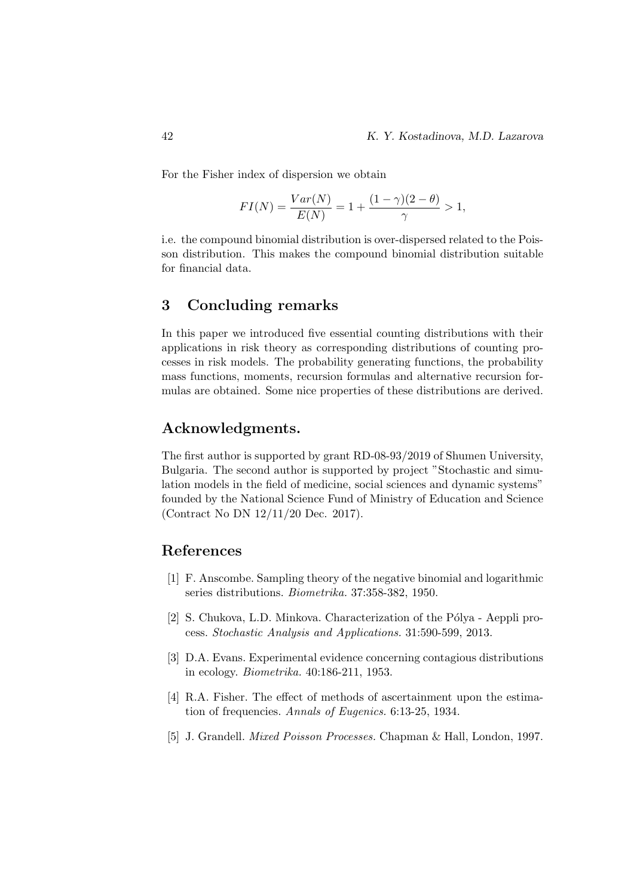For the Fisher index of dispersion we obtain

$$
FI(N) = \frac{Var(N)}{E(N)} = 1 + \frac{(1 - \gamma)(2 - \theta)}{\gamma} > 1,
$$

i.e. the compound binomial distribution is over-dispersed related to the Poisson distribution. This makes the compound binomial distribution suitable for financial data.

# 3 Concluding remarks

In this paper we introduced five essential counting distributions with their applications in risk theory as corresponding distributions of counting processes in risk models. The probability generating functions, the probability mass functions, moments, recursion formulas and alternative recursion formulas are obtained. Some nice properties of these distributions are derived.

## Acknowledgments.

The first author is supported by grant RD-08-93/2019 of Shumen University, Bulgaria. The second author is supported by project "Stochastic and simulation models in the field of medicine, social sciences and dynamic systems" founded by the National Science Fund of Ministry of Education and Science (Contract No DN 12/11/20 Dec. 2017).

## References

- [1] F. Anscombe. Sampling theory of the negative binomial and logarithmic series distributions. Biometrika. 37:358-382, 1950.
- [2] S. Chukova, L.D. Minkova. Characterization of the Pólya Aeppli process. Stochastic Analysis and Applications. 31:590-599, 2013.
- [3] D.A. Evans. Experimental evidence concerning contagious distributions in ecology. Biometrika. 40:186-211, 1953.
- [4] R.A. Fisher. The effect of methods of ascertainment upon the estimation of frequencies. Annals of Eugenics. 6:13-25, 1934.
- [5] J. Grandell. Mixed Poisson Processes. Chapman & Hall, London, 1997.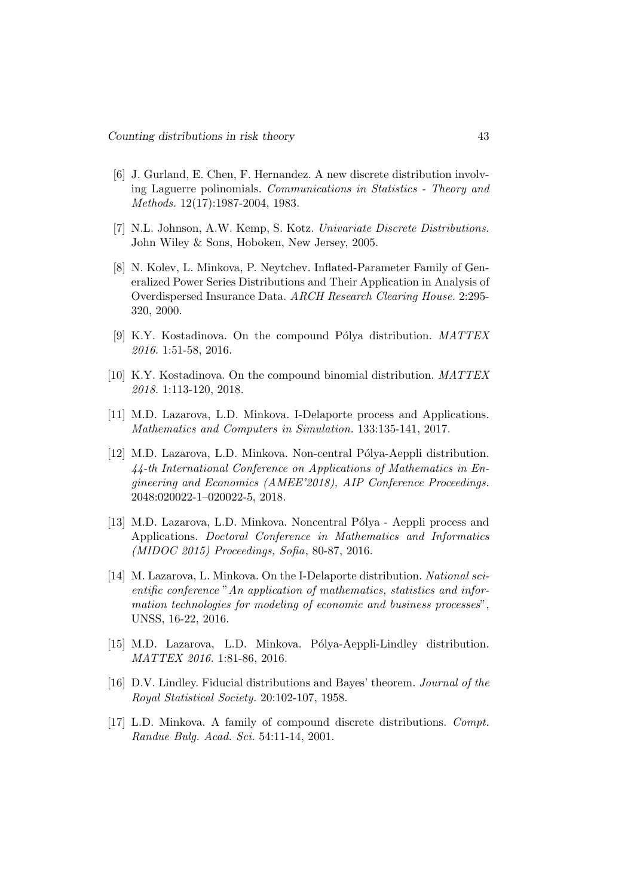- [6] J. Gurland, E. Chen, F. Hernandez. A new discrete distribution involving Laguerre polinomials. Communications in Statistics - Theory and Methods. 12(17):1987-2004, 1983.
- [7] N.L. Johnson, A.W. Kemp, S. Kotz. Univariate Discrete Distributions. John Wiley & Sons, Hoboken, New Jersey, 2005.
- [8] N. Kolev, L. Minkova, P. Neytchev. Inflated-Parameter Family of Generalized Power Series Distributions and Their Application in Analysis of Overdispersed Insurance Data. ARCH Research Clearing House. 2:295- 320, 2000.
- [9] K.Y. Kostadinova. On the compound Pólya distribution.  $MATLEX$ 2016. 1:51-58, 2016.
- [10] K.Y. Kostadinova. On the compound binomial distribution. MATTEX 2018. 1:113-120, 2018.
- [11] M.D. Lazarova, L.D. Minkova. I-Delaporte process and Applications. Mathematics and Computers in Simulation. 133:135-141, 2017.
- [12] M.D. Lazarova, L.D. Minkova. Non-central Pólya-Aeppli distribution. 44-th International Conference on Applications of Mathematics in Engineering and Economics (AMEE'2018), AIP Conference Proceedings. 2048:020022-1–020022-5, 2018.
- [13] M.D. Lazarova, L.D. Minkova. Noncentral Pólya Aeppli process and Applications. Doctoral Conference in Mathematics and Informatics (MIDOC 2015) Proceedings, Sofia, 80-87, 2016.
- [14] M. Lazarova, L. Minkova. On the I-Delaporte distribution. National scientific conference "An application of mathematics, statistics and information technologies for modeling of economic and business processes", UNSS, 16-22, 2016.
- [15] M.D. Lazarova, L.D. Minkova. Pólya-Aeppli-Lindley distribution. MATTEX 2016. 1:81-86, 2016.
- [16] D.V. Lindley. Fiducial distributions and Bayes' theorem. Journal of the Royal Statistical Society. 20:102-107, 1958.
- [17] L.D. Minkova. A family of compound discrete distributions. Compt. Randue Bulg. Acad. Sci. 54:11-14, 2001.